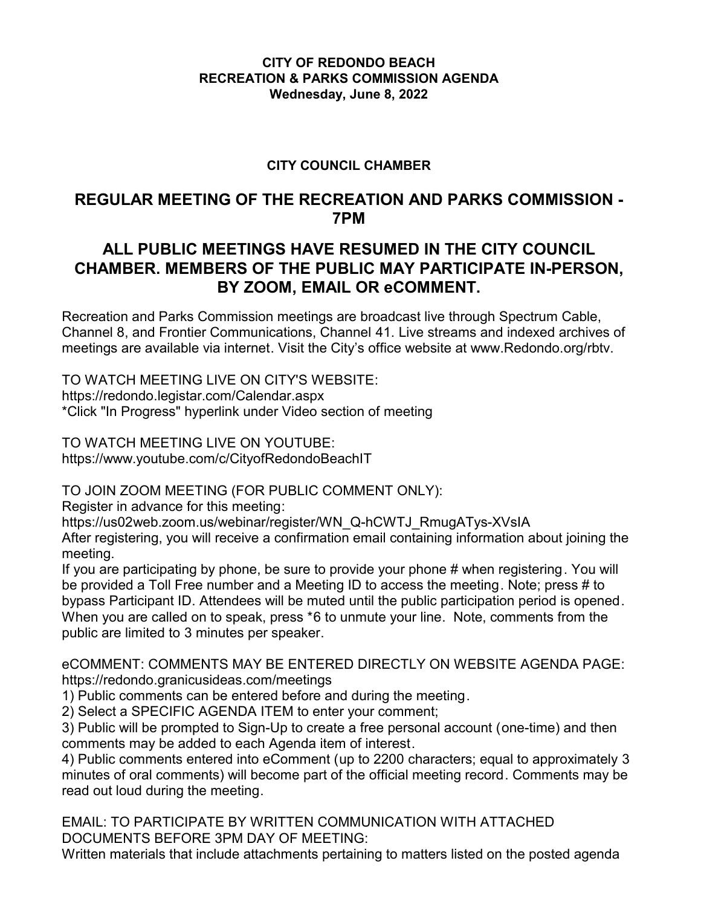## **CITY OF REDONDO BEACH RECREATION & PARKS COMMISSION AGENDA Wednesday, June 8, 2022**

## **CITY COUNCIL CHAMBER**

# **REGULAR MEETING OF THE RECREATION AND PARKS COMMISSION - 7PM**

# **ALL PUBLIC MEETINGS HAVE RESUMED IN THE CITY COUNCIL CHAMBER. MEMBERS OF THE PUBLIC MAY PARTICIPATE IN-PERSON, BY ZOOM, EMAIL OR eCOMMENT.**

Recreation and Parks Commission meetings are broadcast live through Spectrum Cable, Channel 8, and Frontier Communications, Channel 41. Live streams and indexed archives of meetings are available via internet. Visit the City's office website at www.Redondo.org/rbtv.

TO WATCH MEETING LIVE ON CITY'S WEBSITE: https://redondo.legistar.com/Calendar.aspx \*Click "In Progress" hyperlink under Video section of meeting

TO WATCH MEETING LIVE ON YOUTUBE: https://www.youtube.com/c/CityofRedondoBeachIT

TO JOIN ZOOM MEETING (FOR PUBLIC COMMENT ONLY):

Register in advance for this meeting:

https://us02web.zoom.us/webinar/register/WN\_Q-hCWTJ\_RmugATys-XVsIA

After registering, you will receive a confirmation email containing information about joining the meeting.

If you are participating by phone, be sure to provide your phone # when registering. You will be provided a Toll Free number and a Meeting ID to access the meeting. Note; press # to bypass Participant ID. Attendees will be muted until the public participation period is opened. When you are called on to speak, press \*6 to unmute your line. Note, comments from the public are limited to 3 minutes per speaker.

eCOMMENT: COMMENTS MAY BE ENTERED DIRECTLY ON WEBSITE AGENDA PAGE: https://redondo.granicusideas.com/meetings

1) Public comments can be entered before and during the meeting.

2) Select a SPECIFIC AGENDA ITEM to enter your comment;

3) Public will be prompted to Sign-Up to create a free personal account (one-time) and then comments may be added to each Agenda item of interest.

4) Public comments entered into eComment (up to 2200 characters; equal to approximately 3 minutes of oral comments) will become part of the official meeting record. Comments may be read out loud during the meeting.

EMAIL: TO PARTICIPATE BY WRITTEN COMMUNICATION WITH ATTACHED DOCUMENTS BEFORE 3PM DAY OF MEETING:

Written materials that include attachments pertaining to matters listed on the posted agenda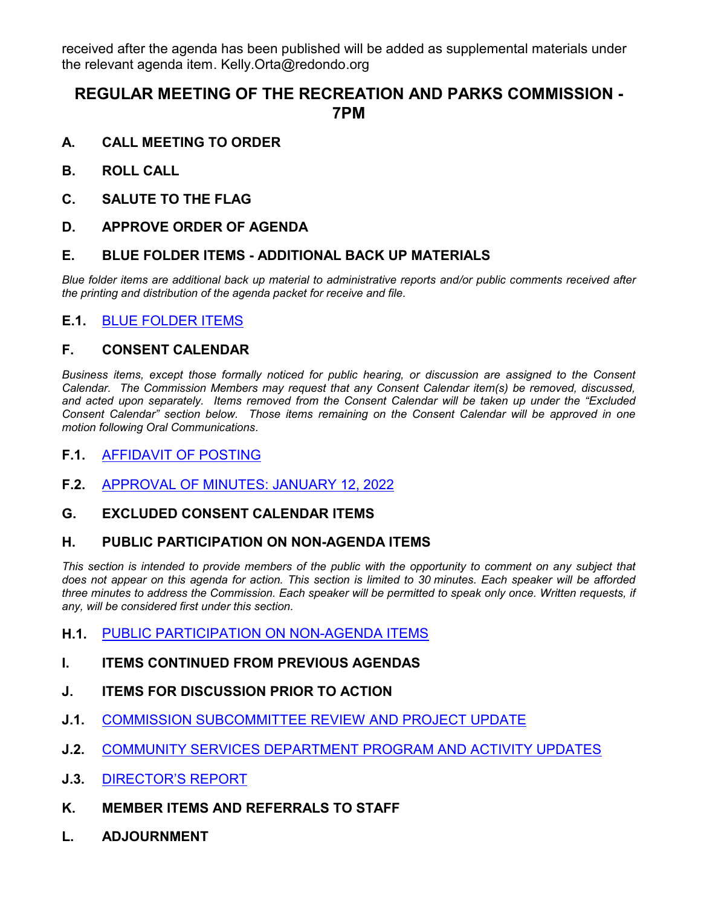received after the agenda has been published will be added as supplemental materials under the relevant agenda item. Kelly.Orta@redondo.org

# **REGULAR MEETING OF THE RECREATION AND PARKS COMMISSION - 7PM**

- **A. CALL MEETING TO ORDER**
- **B. ROLL CALL**
- **C. SALUTE TO THE FLAG**
- **D. APPROVE ORDER OF AGENDA**

### **E. BLUE FOLDER ITEMS - ADDITIONAL BACK UP MATERIALS**

*Blue folder items are additional back up material to administrative reports and/or public comments received after the printing and distribution of the agenda packet for receive and file.*

### **E.1.** [BLUE FOLDER ITEMS](http://redondo.legistar.com/gateway.aspx?m=l&id=/matter.aspx?key=5814)

### **F. CONSENT CALENDAR**

*Business items, except those formally noticed for public hearing, or discussion are assigned to the Consent Calendar. The Commission Members may request that any Consent Calendar item(s) be removed, discussed, and acted upon separately. Items removed from the Consent Calendar will be taken up under the "Excluded Consent Calendar" section below. Those items remaining on the Consent Calendar will be approved in one motion following Oral Communications.*

#### **F.1.** [AFFIDAVIT OF POSTING](http://redondo.legistar.com/gateway.aspx?m=l&id=/matter.aspx?key=5815)

**F.2.** [APPROVAL OF MINUTES: JANUARY 12, 2022](http://redondo.legistar.com/gateway.aspx?m=l&id=/matter.aspx?key=5812)

#### **G. EXCLUDED CONSENT CALENDAR ITEMS**

#### **H. PUBLIC PARTICIPATION ON NON-AGENDA ITEMS**

This section is intended to provide members of the public with the opportunity to comment on any subject that *does not appear on this agenda for action. This section is limited to 30 minutes. Each speaker will be afforded three minutes to address the Commission. Each speaker will be permitted to speak only once. Written requests, if any, will be considered first under this section.*

- **H.1.** [PUBLIC PARTICIPATION ON NON-AGENDA ITEMS](http://redondo.legistar.com/gateway.aspx?m=l&id=/matter.aspx?key=5816)
- **I. ITEMS CONTINUED FROM PREVIOUS AGENDAS**
- **J. ITEMS FOR DISCUSSION PRIOR TO ACTION**
- **J.1.** [COMMISSION SUBCOMMITTEE REVIEW AND PROJECT UPDATE](http://redondo.legistar.com/gateway.aspx?m=l&id=/matter.aspx?key=5809)
- **J.2.** [COMMUNITY SERVICES DEPARTMENT PROGRAM AND ACTIVITY UPDATES](http://redondo.legistar.com/gateway.aspx?m=l&id=/matter.aspx?key=5813)
- **J.3.** [DIRECTOR'S REPORT](http://redondo.legistar.com/gateway.aspx?m=l&id=/matter.aspx?key=5817)
- **K. MEMBER ITEMS AND REFERRALS TO STAFF**
- **L. ADJOURNMENT**